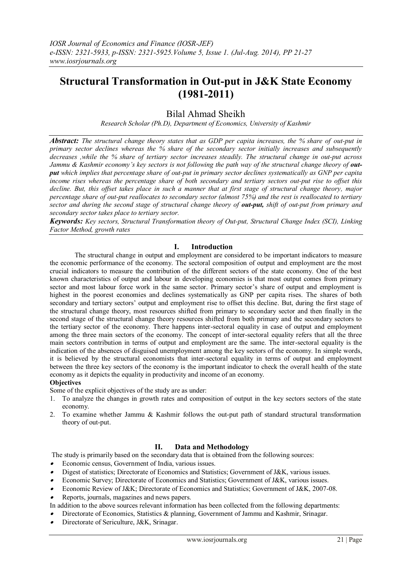# **Structural Transformation in Out-put in J&K State Economy (1981-2011)**

# Bilal Ahmad Sheikh

*Research Scholar (Ph.D), Department of Economics, University of Kashmir*

*Abstract: The structural change theory states that as GDP per capita increases, the % share of out-put in primary sector declines whereas the % share of the secondary sector initially increases and subsequently decreases ,while the % share of tertiary sector increases steadily. The structural change in out-put across Jammu & Kashmir economy's key sectors is not following the path way of the structural change theory of output which implies that percentage share of out-put in primary sector declines systematically as GNP per capita income rises whereas the percentage share of both secondary and tertiary sectors out-put rise to offset this decline. But, this offset takes place in such a manner that at first stage of structural change theory, major percentage share of out-put reallocates to secondary sector (almost 75%) and the rest is reallocated to tertiary sector and during the second stage of structural change theory of out-put, shift of out-put from primary and secondary sector takes place to tertiary sector.* 

*Keywords: Key sectors, Structural Transformation theory of Out-put, Structural Change Index (SCI), Linking Factor Method, growth rates*

## **I. Introduction**

The structural change in output and employment are considered to be important indicators to measure the economic performance of the economy. The sectoral composition of output and employment are the most crucial indicators to measure the contribution of the different sectors of the state economy. One of the best known characteristics of output and labour in developing economies is that most output comes from primary sector and most labour force work in the same sector. Primary sector's share of output and employment is highest in the poorest economies and declines systematically as GNP per capita rises. The shares of both secondary and tertiary sectors' output and employment rise to offset this decline. But, during the first stage of the structural change theory, most resources shifted from primary to secondary sector and then finally in the second stage of the structural change theory resources shifted from both primary and the secondary sectors to the tertiary sector of the economy. There happens inter-sectoral equality in case of output and employment among the three main sectors of the economy. The concept of inter-sectoral equality refers that all the three main sectors contribution in terms of output and employment are the same. The inter-sectoral equality is the indication of the absences of disguised unemployment among the key sectors of the economy. In simple words, it is believed by the structural economists that inter-sectoral equality in terms of output and employment between the three key sectors of the economy is the important indicator to check the overall health of the state economy as it depicts the equality in productivity and income of an economy.

#### **Objectives**

Some of the explicit objectives of the study are as under:

- 1. To analyze the changes in growth rates and composition of output in the key sectors sectors of the state economy.
- 2. To examine whether Jammu & Kashmir follows the out-put path of standard structural transformation theory of out-put.

## **II. Data and Methodology**

The study is primarily based on the secondary data that is obtained from the following sources:

- Economic census, Government of India, various issues.
- . Digest of statistics; Directorate of Economics and Statistics; Government of J&K, various issues.
- . Economic Survey; Directorate of Economics and Statistics; Government of J&K, various issues.
- . Economic Review of J&K; Directorate of Economics and Statistics; Government of J&K, 2007-08.
- . Reports, journals, magazines and news papers.
- In addition to the above sources relevant information has been collected from the following departments:
- $\bullet$ Directorate of Economics, Statistics & planning, Government of Jammu and Kashmir, Srinagar.
- . Directorate of Sericulture, J&K, Srinagar.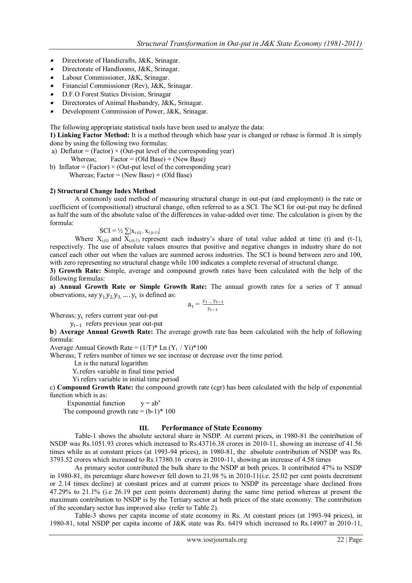- Directorate of Handicrafts, J&K, Srinagar.
- Directorate of Handlooms, J&K, Srinagar.
- Labour Commissioner, J&K, Srinagar.
- Financial Commissioner (Rev), J&K, Srinagar.
- D.F.O Forest Statics Division, Srinagar
- Directorates of Animal Husbandry, J&K, Srinagar.
- . Development Commission of Power, J&K, Srinagar.

The following appropriate statistical tools have been used to analyze the data:

**1) Linking Factor Method:** It is a method through which base year is changed or rebase is formed .It is simply done by using the following two formulas:

- a) Deflator = (Factor)  $\times$  (Out-put level of the corresponding year) Whereas; Factor = (Old Base) **÷** (New Base)
- b) Inflator = (Factor)  $\times$  (Out-put level of the corresponding year) Whereas: Factor =  $(New Base) \div (Old Base)$

#### **2) Structural Change Index Method**

A commonly used method of measuring structural change in out-put (and employment) is the rate or coefficient of (compositional) structural change, often referred to as a SCI. The SCI for out-put may be defined as half the sum of the absolute value of the differences in value-added over time. The calculation is given by the formula:

$$
SCI = \frac{1}{2} \sum |x_{i(t)}| \cdot x_{i(t-1)}|
$$

Where  $X_{i,(t)}$  and  $X_{i,(t-1)}$  represent each industry's share of total value added at time (t) and (t-1), respectively. The use of absolute values ensures that positive and negative changes in industry share do not cancel each other out when the values are summed across industries. The SCI is bound between zero and 100, with zero representing no structural change while 100 indicates a complete reversal of structural change.

**3) Growth Rate: S**imple, average and compound growth rates have been calculated with the help of the following formulas:

**a) Annual Growth Rate or Simple Growth Rate:** The annual growth rates for a series of T annual observations, say  $y_1, y_2, y_3, \dots, y_t$  is defined as:

$$
a_t = \tfrac{y_{t-} y_{t-1}}{y_{t-1}}
$$

Whereas;  $y_t$  refers current year out-put

yt−<sup>1</sup> refers previous year out-put

) **Average Annual Growth Rate:** The average growth rate has been calculated with the help of following formula:

Average Annual Growth Rate =  $(1/T)^*$  Ln  $(Y_t / Y_i)^*100$ 

Whereas; T refers number of times we see increase or decrease over the time period.

Ln is the natural logarithm

 $Y_t$  refers variable in final time period

Yi refers variable in initial time period

c) **Compound Growth Rate:** the compound growth rate (cgr) has been calculated with the help of exponential function which is as:

Exponential function  $y = ab^x$ The compound growth rate =  $(b-1)*100$ 

#### **III. Performance of State Economy**

Table-1 shows the absolute sectoral share in NSDP. At current prices, in 1980-81 the contribution of NSDP was Rs.1051.93 crores which increased to Rs.43716.38 crores in 2010-11, showing an increase of 41.56 times while as at constant prices (at 1993-94 prices), in 1980-81, the absolute contribution of NSDP was Rs. 3793.52 crores which increased to Rs.17380.16 crores in 2010-11, showing an increase of 4.58 times

As primary sector contributed the bulk share to the NSDP at both prices. It contributed 47% to NSDP in 1980-81, its percentage share however fell down to 21.98 % in 2010-11(i.e. 25.02 per cent points decrement or 2.14 times decline) at constant prices and at current prices to NSDP its percentage share declined from 47.29% to 21.1% (i.e 26.19 per cent points decrement) during the same time period whereas at present the maximum contribution to NSDP is by the Tertiary sector at both prices of the state economy. The contribution of the secondary sector has improved also (refer to Table 2).

Table-3 shows per capita income of state economy in Rs. At constant prices (at 1993-94 prices), in 1980-81, total NSDP per capita income of J&K state was Rs. 6419 which increased to Rs.14907 in 2010-11,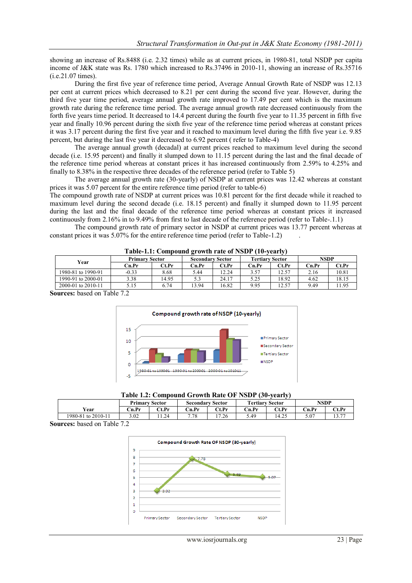showing an increase of Rs.8488 (i.e. 2.32 times) while as at current prices, in 1980-81, total NSDP per capita income of J&K state was Rs. 1780 which increased to Rs.37496 in 2010-11, showing an increase of Rs.35716 (i.e.21.07 times).

During the first five year of reference time period, Average Annual Growth Rate of NSDP was 12.13 per cent at current prices which decreased to 8.21 per cent during the second five year. However, during the third five year time period, average annual growth rate improved to 17.49 per cent which is the maximum growth rate during the reference time period. The average annual growth rate decreased continuously from the forth five years time period. It decreased to 14.4 percent during the fourth five year to 11.35 percent in fifth five year and finally 10.96 percent during the sixth five year of the reference time period whereas at constant prices it was 3.17 percent during the first five year and it reached to maximum level during the fifth five year i.e. 9.85 percent, but during the last five year it decreased to 6.92 percent ( refer to Table-4)

The average annual growth (decadal) at current prices reached to maximum level during the second decade (i.e. 15.95 percent) and finally it slumped down to 11.15 percent during the last and the final decade of the reference time period whereas at constant prices it has increased continuously from 2.59% to 4.25% and finally to 8.38% in the respective three decades of the reference period (refer to Table 5)

The average annual growth rate (30-yearly) of NSDP at current prices was 12.42 whereas at constant prices it was 5.07 percent for the entire reference time period (refer to table-6)

The compound growth rate of NSDP at current prices was 10.81 percent for the first decade while it reached to maximum level during the second decade (i.e. 18.15 percent) and finally it slumped down to 11.95 percent during the last and the final decade of the reference time period whereas at constant prices it increased continuously from 2.16% in to 9.49% from first to last decade of the reference period (refer to Table-.1.1)

The compound growth rate of primary sector in NSDP at current prices was 13.77 percent whereas at constant prices it was 5.07% for the entire reference time period (refer to Table-1.2).

| Year               | <b>Primary Sector</b> |       | <b>Secondary Sector</b> |       | <b>Tertiary Sector</b> |       | <b>NSDP</b> |       |  |  |  |
|--------------------|-----------------------|-------|-------------------------|-------|------------------------|-------|-------------|-------|--|--|--|
|                    | Cn.Pr                 | Ct.Pr | Cn.Pr                   | Ct.Pr | n.Pr                   | Ct.Pr | Cn.Pr       | Ct.Pr |  |  |  |
| 1980-81 to 1990-91 | $-0.33$               | 8.68  | 5.44                    | 12.24 | 3.57                   | .2.57 | 2.16        | 10.81 |  |  |  |
| 1990-91 to 2000-01 | 3.38                  | 14.95 | 5.3                     | 24.17 | 5.25                   | 18.92 | 4.62        | 18.15 |  |  |  |
| 2000-01 to 2010-11 | 5.15                  | 6.74  | 13.94                   | 16.82 | 9.95                   | .2.57 | 9.49        | 1.95  |  |  |  |
| $-11$              | $\sim$ $\sim$         |       |                         |       |                        |       |             |       |  |  |  |

**Table-1.1: Compound growth rate of NSDP (10-yearly)**

**Sources:** based on Table 7.2



|  |  | Table 1.2: Compound Growth Rate OF NSDP (30-yearly) |  |  |
|--|--|-----------------------------------------------------|--|--|
|--|--|-----------------------------------------------------|--|--|

|                    | <b>Sector</b><br>Primary |       | <b>Sector</b><br>Secondary |       | <b>Tertiary Sector</b> |       | <b>NSDP</b> |            |
|--------------------|--------------------------|-------|----------------------------|-------|------------------------|-------|-------------|------------|
| Year               | Cn.Pr                    | Ct.Pr | Cn.Pr                      | Ct.Pr | Cn.Pr                  | Ct.Pr | Cn.Pr       | Ct.Pr      |
| 1980-81 to 2010-11 | 3.02                     | 11.24 | 7.78                       | 17.26 | 5.49                   | 14.25 | 5.07        | 12.77<br>. |
|                    |                          |       |                            |       |                        |       |             |            |

**Sources:** based on Table 7.2

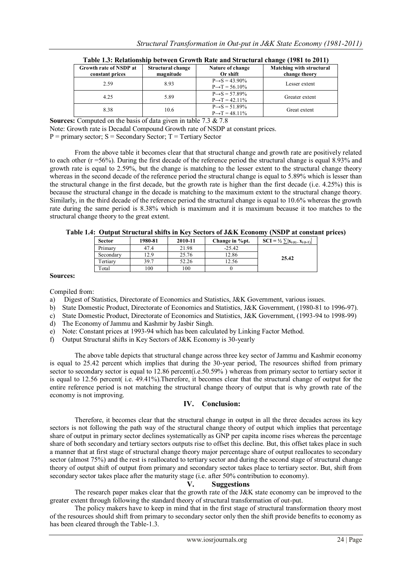|                        |                   | Table 1.3. Relationship between Growth Rate and Structural Change (1701 to 2011) |                          |
|------------------------|-------------------|----------------------------------------------------------------------------------|--------------------------|
| Growth rate of NSDP at | Structural change | Nature of change                                                                 | Matching with structural |
| constant prices        | magnitude         | Or shift                                                                         | change theory            |
| 2.59                   | 8.93              | $P \rightarrow S = 43.90\%$                                                      | Lesser extent            |
|                        |                   | $P \rightarrow T = 56.10\%$                                                      |                          |
| 4.25                   | 5.89              | $P \rightarrow S = 57.89\%$                                                      | Greater extent           |
|                        |                   | $P \rightarrow T = 42.11\%$                                                      |                          |
| 8.38                   |                   | $P \rightarrow S = 51.89\%$                                                      | Great extent             |
|                        | 10.6              | $P \rightarrow T = 48.11\%$                                                      |                          |

| Table 1.3: Relationship between Growth Rate and Structural change (1981 to 2011) |  |  |  |
|----------------------------------------------------------------------------------|--|--|--|
|                                                                                  |  |  |  |

**Sources:** Computed on the basis of data given in table 7.3 & 7.8

Note: Growth rate is Decadal Compound Growth rate of NSDP at constant prices.

 $P =$  primary sector;  $S =$  Secondary Sector;  $T =$  Tertiary Sector

From the above table it becomes clear that that structural change and growth rate are positively related to each other (r =56%). During the first decade of the reference period the structural change is equal 8.93% and growth rate is equal to 2.59%, but the change is matching to the lesser extent to the structural change theory whereas in the second decade of the reference period the structural change is equal to 5.89% which is lesser than the structural change in the first decade, but the growth rate is higher than the first decade (i.e. 4.25%) this is because the structural change in the decade is matching to the maximum extent to the structural change theory. Similarly, in the third decade of the reference period the structural change is equal to 10.6% whereas the growth rate during the same period is 8.38% which is maximum and it is maximum because it too matches to the structural change theory to the great extent.

|  | Table 1.4: Output Structural shifts in Key Sectors of J&K Economy (NSDP at constant prices) |  |  |
|--|---------------------------------------------------------------------------------------------|--|--|
|  |                                                                                             |  |  |

| <b>Sector</b> | 1980-81 | 2010-11 | Change in %pt. | $\text{SCI} = \frac{1}{2} \sum  X_{i(t)}  \cdot X_{i(t-1)} $ |
|---------------|---------|---------|----------------|--------------------------------------------------------------|
| Primary       | 47.4    | 21.98   | $-25.42$       |                                                              |
| Secondary     | 12.9    | 25.76   | 12.86          | 25.42                                                        |
| Tertiary      | 39.7    | 52.26   | 12.56          |                                                              |
| Total         | 100     | 100     |                |                                                              |
|               |         |         |                |                                                              |

#### **Sources:**

Compiled from:<br>a) Digest of S

- Digest of Statistics, Directorate of Economics and Statistics, J&K Government, various issues.
- b) State Domestic Product, Directorate of Economics and Statistics, J&K Government, (1980-81 to 1996-97).
- c) State Domestic Product, Directorate of Economics and Statistics, J&K Government, (1993-94 to 1998-99)
- d) The Economy of Jammu and Kashmir by Jasbir Singh.
- e) Note: Constant prices at 1993-94 which has been calculated by Linking Factor Method.
- f) Output Structural shifts in Key Sectors of J&K Economy is 30-yearly

The above table depicts that structural change across three key sector of Jammu and Kashmir economy is equal to 25.42 percent which implies that during the 30-year period, The resources shifted from primary sector to secondary sector is equal to 12.86 percent(i.e.50.59%) whereas from primary sector to tertiary sector it is equal to 12.56 percent( i.e. 49.41%).Therefore, it becomes clear that the structural change of output for the entire reference period is not matching the structural change theory of output that is why growth rate of the economy is not improving.

## **IV. Conclusion:**

Therefore, it becomes clear that the structural change in output in all the three decades across its key sectors is not following the path way of the structural change theory of output which implies that percentage share of output in primary sector declines systematically as GNP per capita income rises whereas the percentage share of both secondary and tertiary sectors outputs rise to offset this decline. But, this offset takes place in such a manner that at first stage of structural change theory major percentage share of output reallocates to secondary sector (almost 75%) and the rest is reallocated to tertiary sector and during the second stage of structural change theory of output shift of output from primary and secondary sector takes place to tertiary sector. But, shift from secondary sector takes place after the maturity stage (i.e. after 50% contribution to economy).

#### **V. Suggestions**

The research paper makes clear that the growth rate of the J&K state economy can be improved to the greater extent through following the standard theory of structural transformation of out-put.

The policy makers have to keep in mind that in the first stage of structural transformation theory most of the resources should shift from primary to secondary sector only then the shift provide benefits to economy as has been cleared through the Table-1.3.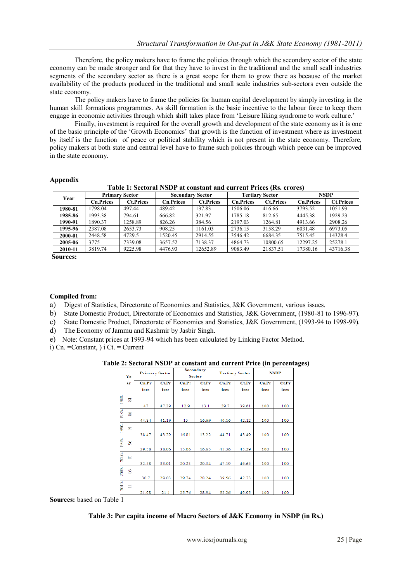Therefore, the policy makers have to frame the policies through which the secondary sector of the state economy can be made stronger and for that they have to invest in the traditional and the small scall industries segments of the secondary sector as there is a great scope for them to grow there as because of the market availability of the products produced in the traditional and small scale industries sub-sectors even outside the state economy.

The policy makers have to frame the policies for human capital development by simply investing in the human skill formations programmes. As skill formation is the basic incentive to the labour force to keep them engage in economic activities through which shift takes place from "Leisure liking syndrome to work culture."

Finally, investment is required for the overall growth and development of the state economy as it is one of the basic principle of the "Growth Economics" that growth is the function of investment where as investment by itself is the function of peace or political stability which is not present in the state economy. Therefore, policy makers at both state and central level have to frame such policies through which peace can be improved in the state economy.

## **Appendix**

**Table 1: Sectoral NSDP at constant and current Prices (Rs. crores)**

| Year    | <b>Primary Sector</b> |                  |                  | <b>Secondary Sector</b> |                  | <b>Tertiary Sector</b> |                  | <b>NSDP</b>      |  |
|---------|-----------------------|------------------|------------------|-------------------------|------------------|------------------------|------------------|------------------|--|
|         | <b>Cn.Prices</b>      | <b>Ct.Prices</b> | <b>Cn.Prices</b> | <b>Ct.Prices</b>        | <b>Cn.Prices</b> | <b>Ct.Prices</b>       | <b>Cn.Prices</b> | <b>Ct.Prices</b> |  |
| 1980-81 | 1798.04               | 497.44           | 489.42           | 137.83                  | 1506.06          | 416.66                 | 3793.52          | 1051.93          |  |
| 1985-86 | 1993.38               | 794.61           | 666.82           | 321.97                  | 1785.18          | 812.65                 | 4445.38          | 1929.23          |  |
| 1990-91 | 1890.37               | 1258.89          | 826.26           | 384.56                  | 2197.03          | 1264.81                | 4913.66          | 2908.26          |  |
| 1995-96 | 2387.08               | 2653.73          | 908.25           | 1161.03                 | 2736.15          | 3158.29                | 6031.48          | 6973.05          |  |
| 2000-01 | 2448.58               | 4729.5           | 1520.45          | 2914.55                 | 3546.42          | 6684.35                | 7515.45          | 14328.4          |  |
| 2005-06 | 3775                  | 7339.08          | 3657.52          | 7138.37                 | 4864.73          | 10800.65               | 12297.25         | 25278.1          |  |
| 2010-11 | 3819.74               | 9225.98          | 4476.93          | 12652.89                | 9083.49          | 21837.51               | 17380.16         | 43716.38         |  |

**Sources:**

## **Compiled from:**

a) Digest of Statistics, Directorate of Economics and Statistics, J&K Government, various issues.

- b) State Domestic Product, Directorate of Economics and Statistics, J&K Government, (1980-81 to 1996-97).
- c) State Domestic Product, Directorate of Economics and Statistics, J&K Government, (1993-94 to 1998-99).
- d) The Economy of Jammu and Kashmir by Jasbir Singh.
- e) Note: Constant prices at 1993-94 which has been calculated by Linking Factor Method.

i) Cn. = Constant,  $\overline{C}$  i Ct. = Current

**Table 2: Sectoral NSDP at constant and current Price (in percentages)**

|            | Ye             | <b>Primary Sector</b> |       |       | <b>Secondary</b><br><b>Sector</b> |       | <b>Tertiary Sector</b> |       | <b>NSDP</b> |
|------------|----------------|-----------------------|-------|-------|-----------------------------------|-------|------------------------|-------|-------------|
|            | ar             | Cn.Pr                 | Ct.Pr | Cn.Pr | Ct.Pr                             | Cn.Pr | Ct.Pr                  | Cn.Pr | Ct.Pr       |
|            |                | ices                  | ices  | ices  | ices                              | ices  | ices                   | ices  | ices        |
| <b>S86</b> | 8              |                       |       |       |                                   |       |                        |       |             |
|            |                | 47                    | 47.29 | 12.9  | 13.1                              | 39.7  | 39.61                  | 100   | 100         |
| ks61       | 88             | 44.84                 | 41.19 | 15    | 16.69                             | 40.16 | 42.12                  | 100   | 100         |
| 590-       | ま              |                       |       |       |                                   |       |                        |       |             |
|            |                | 38.47                 | 43.29 | 16.81 | 13.22                             | 44.71 | 43.49                  | 100   | 100         |
| 5661       | 8              | 39.58                 | 38.06 | 15.06 | 16.65                             | 45.36 | 45.29                  | 100   | 100         |
| 2000-      | $\overline{5}$ | 32.58                 | 33.01 | 20.23 | 20.34                             | 47.19 | 46.65                  | 100   | 100         |
| 2005       | 8              | 30.7                  | 29.03 | 29.74 | 28.24                             | 39.56 | 42.73                  | 100   | 100         |
| 2010-      | Ξ              | 21.98                 | 21.1  | 25.76 | 28.94                             | 52.26 | 49.95                  | 100   | 100         |

**Sources:** based on Table 1

## **Table 3: Per capita income of Macro Sectors of J&K Economy in NSDP (in Rs.)**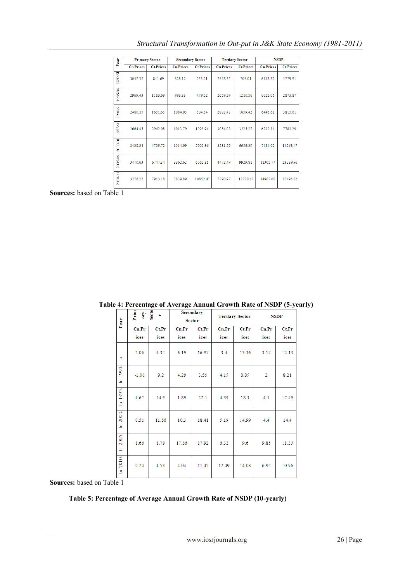| Year    |                  | <b>Primary Sector</b> | <b>Secondary Sector</b> |                  |                  | <b>Tertiary Sector</b> | <b>NSDP</b>      |                  |  |
|---------|------------------|-----------------------|-------------------------|------------------|------------------|------------------------|------------------|------------------|--|
|         | <b>Cn.Prices</b> | <b>Ct.Prices</b>      | <b>Cn.Prices</b>        | <b>Ct.Prices</b> | <b>Cn.Prices</b> | <b>Ct.Prices</b>       | <b>Cn.Prices</b> | <b>Ct.Prices</b> |  |
| 180881  | 3042.37          | 841.69                | 828.12                  | 233.21           | 2548.32          | 705.01                 | 6418.82          | 1779.91          |  |
| 1985-86 | 2969.43          | 1183.69               | 993.33                  | 479.62           | 2659.29          | 1210.56                | 6622.05          | 2873.87          |  |
| 1990-91 | 2480.15          | 1651.65               | 1084.05                 | 504.54           | 2882.48          | 1659.42                | 6446.68          | 3815.61          |  |
| 1995-96 | 2664.45          | 2962.08               | 1013.79                 | 1295.94          | 3054.08          | 3525.27                | 6732.31          | 7783.29          |  |
| 2000-01 | 2438.34          | 4709.72               | 1514.09                 | 2902.36          | 3531.59          | 6656.39                | 7484.02          | 14268.47         |  |
| 2005-06 | 3470.63          | 6747.34               | 3362.62                 | 6562.81          | 4472.49          | 9929.81                | 11305.74         | 23239.96         |  |
| 2010-11 | 3276.22          | 7913.18               | 3839.89                 | 10852.47         | 7790.97          | 18730.17               | 14907.08         | 37495.82         |  |
|         |                  |                       |                         |                  |                  |                        |                  |                  |  |

**Sources:** based on Table 1

|                                                                                                                  | $\ldots$ contage of the age timinal strong rate of the $\ell$ $\ell$ |       |                            |       |       |                        |       |             |  |  |  |  |  |
|------------------------------------------------------------------------------------------------------------------|----------------------------------------------------------------------|-------|----------------------------|-------|-------|------------------------|-------|-------------|--|--|--|--|--|
| Year                                                                                                             | ary<br>Secto<br>ł<br>t.                                              |       | Secondary<br><b>Sector</b> |       |       | <b>Tertiary Sector</b> |       | <b>NSDP</b> |  |  |  |  |  |
|                                                                                                                  | Cn.Pr                                                                | Ct.Pr | Cn.Pr                      | Ct.Pr | Cn.Pr | Ct.Pr                  | Cn.Pr | Ct.Pr       |  |  |  |  |  |
|                                                                                                                  | ices                                                                 | ices  | ices                       | ices  | ices  | ices                   | ices  | ices        |  |  |  |  |  |
| 2                                                                                                                | 2.06                                                                 | 9.37  | 6.19                       | 16.97 | 3.4   | 13.36                  | 3.17  | 12.13       |  |  |  |  |  |
| to 1990-                                                                                                         | $-1.06$                                                              | 9.2   | 4.29                       | 3.55  | 4.15  | 8.85                   | 2     | 8.21        |  |  |  |  |  |
| to 1995-                                                                                                         | 4.67                                                                 | 14.9  | 1.89                       | 22.1  | 4.39  | 18.3                   | 4.1   | 17.49       |  |  |  |  |  |
| 2000-<br>ġ                                                                                                       | 0.51                                                                 | 11.56 | 10.3                       | 18.41 | 5.19  | 14.99                  | 4.4   | 14.4        |  |  |  |  |  |
| 2005-<br>g                                                                                                       | 8.66                                                                 | 8.79  | 17.56                      | 17.92 | 6.32  | 9.6                    | 9.85  | 11.35       |  |  |  |  |  |
| 2010-<br>$\mathfrak{S}% _{T}=\mathfrak{S}_{T}\!\left( a,b\right) ,\ \mathfrak{S}_{T}=C_{T}\!\left( a,b\right) ,$ | 0.24                                                                 | 4.58  | 4.04                       | 11.45 | 12.49 | 14.08                  | 6.92  | 10.96       |  |  |  |  |  |

**Table 4: Percentage of Average Annual Growth Rate of NSDP (5-yearly)**

**Sources:** based on Table 1

# **Table 5: Percentage of Average Annual Growth Rate of NSDP (10-yearly)**